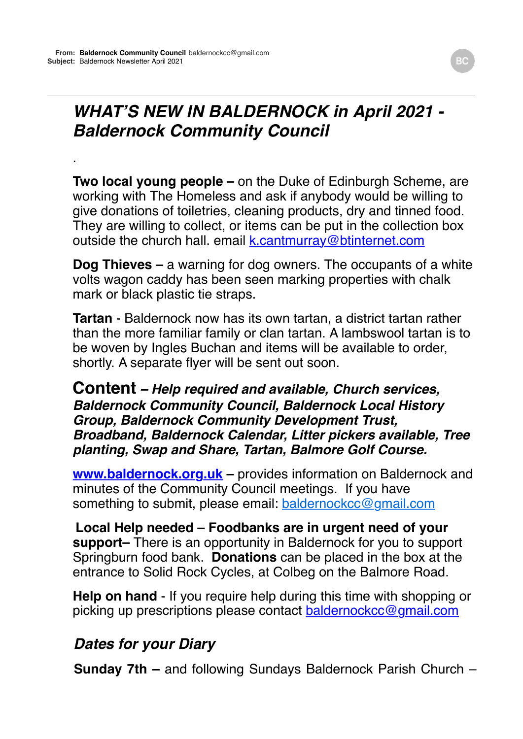.

# *WHAT'S NEW IN BALDERNOCK in April 2021 - Baldernock Community Council*

**Two local young people –** on the Duke of Edinburgh Scheme, are working with The Homeless and ask if anybody would be willing to give donations of toiletries, cleaning products, dry and tinned food. They are willing to collect, or items can be put in the collection box outside the church hall. email [k.cantmurray@btinternet.com](mailto:k.cantmurray@btinternet.com)

**Dog Thieves –** a warning for dog owners. The occupants of a white volts wagon caddy has been seen marking properties with chalk mark or black plastic tie straps.

**Tartan** - Baldernock now has its own tartan, a district tartan rather than the more familiar family or clan tartan. A lambswool tartan is to be woven by Ingles Buchan and items will be available to order, shortly. A separate flyer will be sent out soon.

#### **Content** *– Help required and available, Church services, Baldernock Community Council, Baldernock Local History Group, Baldernock Community Development Trust, Broadband, Baldernock Calendar, Litter pickers available, Tree planting, Swap and Share, Tartan, Balmore Golf Course.*

**www.baldernock.org.uk** – provides information on Baldernock and minutes of the Community Council meetings. If you have something to submit, please email: [baldernockcc@gmail.com](mailto:baldernockcc@gmail.com)

**Local Help needed – Foodbanks are in urgent need of your support–** There is an opportunity in Baldernock for you to support Springburn food bank. **Donations** can be placed in the box at the entrance to Solid Rock Cycles, at Colbeg on the Balmore Road.

**Help on hand** - If you require help during this time with shopping or picking up prescriptions please contact [baldernockcc@gmail.com](mailto:baldernockcc@gmail.com)

### *Dates for your Diary*

**Sunday 7th –** and following Sundays Baldernock Parish Church –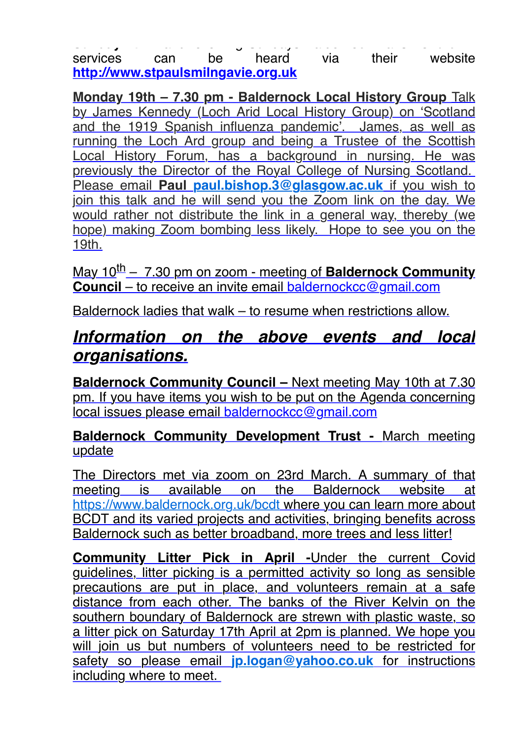**Sunday 7th –** and following Sundays Baldernock Parish Church – services can be heard via their website **[http://www.stpaulsmilngavie.org.uk](http://www.stpaulsmilngavie.org.uk/)**

**Monday 19th – 7.30 pm - Baldernock Local History Group** Talk by James Kennedy (Loch Arid Local History Group) on 'Scotland and the 1919 Spanish influenza pandemic'. James, as well as running the Loch Ard group and being a Trustee of the Scottish Local History Forum, has a background in nursing. He was previously the Director of the Royal College of Nursing Scotland. Please email **Paul [paul.bishop.3@glasgow.ac.uk](mailto:paul.bishop.3@glasgow.ac.uk)** if you wish to join this talk and he will send you the Zoom link on the day. We would rather not distribute the link in a general way, thereby (we hope) making Zoom bombing less likely. Hope to see you on the 19th.

May 10<sup>th</sup> – 7.30 pm on zoom - meeting of **Baldernock Community Council** – to receive an invite email [baldernockcc@gmail.com](mailto:baldernockcc@gmail.com)

Baldernock ladies that walk – to resume when restrictions allow.

## *Information on the above events and local organisations.*

**Baldernock Community Council –** Next meeting May 10th at 7.30 pm. If you have items you wish to be put on the Agenda concerning local issues please email [baldernockcc@gmail.com](mailto:baldernockcc@gmail.com)

**Baldernock Community Development Trust -** March meeting update

The Directors met via zoom on 23rd March. A summary of that meeting is available on the Baldernock website at <https://www.baldernock.org.uk/bcdt>where you can learn more about BCDT and its varied projects and activities, bringing benefits across Baldernock such as better broadband, more trees and less litter!

**Community Litter Pick in April -**Under the current Covid guidelines, litter picking is a permitted activity so long as sensible precautions are put in place, and volunteers remain at a safe distance from each other. The banks of the River Kelvin on the southern boundary of Baldernock are strewn with plastic waste, so a litter pick on Saturday 17th April at 2pm is planned. We hope you will join us but numbers of volunteers need to be restricted for safety so please email **[jp.logan@yahoo.co.uk](mailto:jp.logan@yahoo.co.uk)** for instructions including where to meet.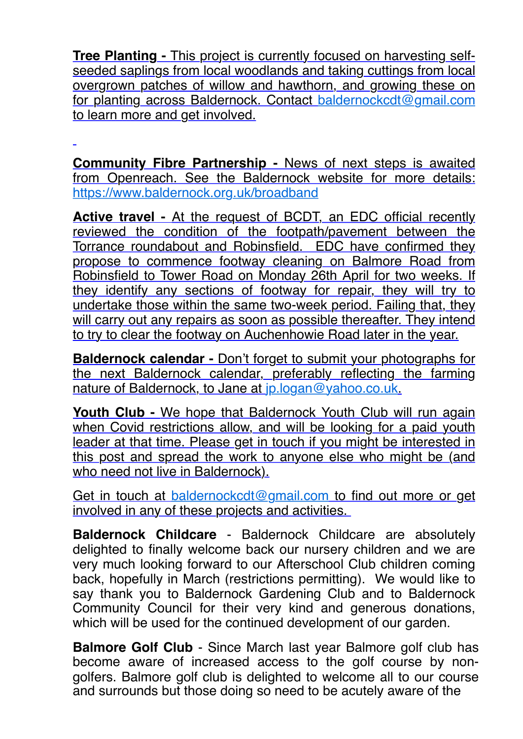**Tree Planting -** This project is currently focused on harvesting selfseeded saplings from local woodlands and taking cuttings from local overgrown patches of willow and hawthorn, and growing these on for planting across Baldernock. Contact [baldernockcdt@gmail.com](mailto:baldernockcdt@gmail.com) to learn more and get involved.

**Community Fibre Partnership -** News of next steps is awaited from Openreach. See the Baldernock website for more details: <https://www.baldernock.org.uk/broadband>

**Active travel -** At the request of BCDT, an EDC official recently reviewed the condition of the footpath/pavement between the Torrance roundabout and Robinsfield. EDC have confirmed they propose to commence footway cleaning on Balmore Road from Robinsfield to Tower Road on Monday 26th April for two weeks. If they identify any sections of footway for repair, they will try to undertake those within the same two-week period. Failing that, they will carry out any repairs as soon as possible thereafter. They intend to try to clear the footway on Auchenhowie Road later in the year.

**Baldernock calendar -** Don't forget to submit your photographs for the next Baldernock calendar, preferably reflecting the farming nature of Baldernock, to Jane at [jp.logan@yahoo.co.uk](mailto:jp.logan@yahoo.co.uk).

**Youth Club -** We hope that Baldernock Youth Club will run again when Covid restrictions allow, and will be looking for a paid youth leader at that time. Please get in touch if you might be interested in this post and spread the work to anyone else who might be (and who need not live in Baldernock).

Get in touch at [baldernockcdt@gmail.com](mailto:baldernockcdt@gmail.com) to find out more or get involved in any of these projects and activities.

**Baldernock Childcare** - Baldernock Childcare are absolutely delighted to finally welcome back our nursery children and we are very much looking forward to our Afterschool Club children coming back, hopefully in March (restrictions permitting). We would like to say thank you to Baldernock Gardening Club and to Baldernock Community Council for their very kind and generous donations, which will be used for the continued development of our garden.

**Balmore Golf Club** - Since March last year Balmore golf club has become aware of increased access to the golf course by nongolfers. Balmore golf club is delighted to welcome all to our course and surrounds but those doing so need to be acutely aware of the